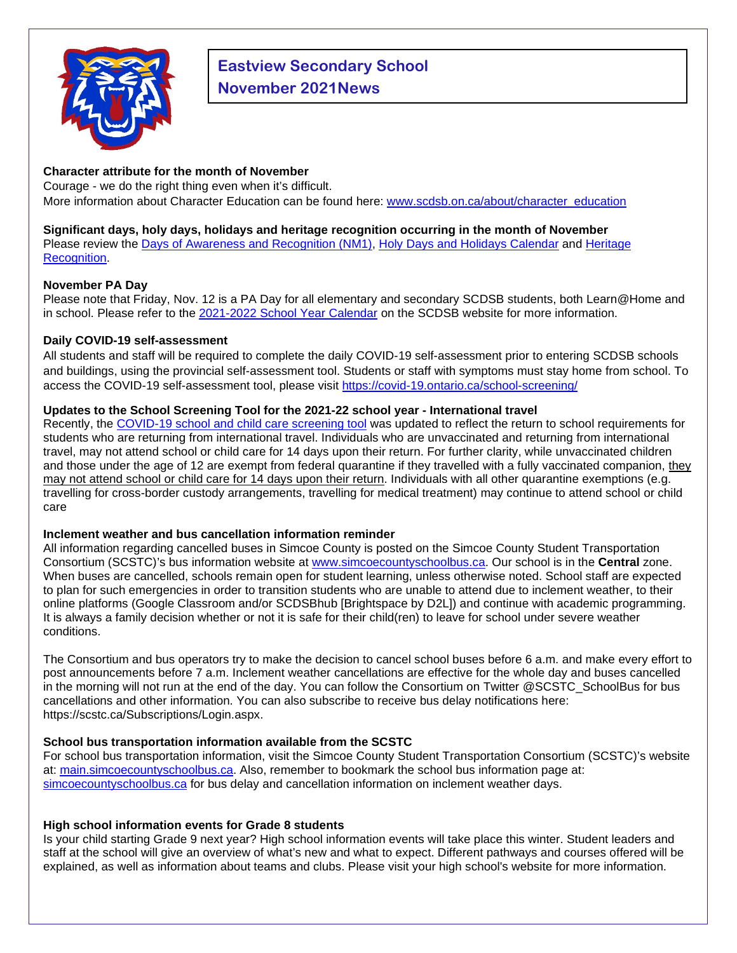

# **Eastview Secondary School November 2021News**

## **Character attribute for the month of November**

Courage - we do the right thing even when it's difficult. More information about Character Education can be found here: [www.scdsb.on.ca/about/character\\_education](http://www.scdsb.on.ca/about/character_education)

#### **Significant days, holy days, holidays and heritage recognition occurring in the month of November**

Please review the Days of Awareness and Recognition (NM1), [Holy Days and Holidays Calendar](https://www.scdsb.on.ca/UserFiles/Servers/Server_210898/File/About/Equity%20and%20Inclusion/Holy%20Days%20Calendar/Sept21-Aug22-HolyDaysandHolidays-Calendar.pdf) and [Heritage](https://www.scdsb.on.ca/about/equity_and_inclusion/heritage_recognition)  [Recognition.](https://www.scdsb.on.ca/about/equity_and_inclusion/heritage_recognition)

### **November PA Day**

Please note that Friday, Nov. 12 is a PA Day for all elementary and secondary SCDSB students, both Learn@Home and in school. Please refer to the [2021-2022 School Year Calendar](https://bit.ly/3mPd1wC) on the SCDSB website for more information.

## **Daily COVID-19 self-assessment**

All students and staff will be required to complete the daily COVID-19 self-assessment prior to entering SCDSB schools and buildings, using the provincial self-assessment tool. Students or staff with symptoms must stay home from school. To access the COVID-19 self-assessment tool, please visit<https://covid-19.ontario.ca/school-screening/>

## **Updates to the School Screening Tool for the 2021-22 school year - International travel**

Recently, the [COVID-19 school and child care screening tool](https://can01.safelinks.protection.outlook.com/?url=https%3A%2F%2Fcovid-19.ontario.ca%2Fschool-screening%2F&data=04%7C01%7Cafarrell%40scdsb.on.ca%7Cf7af1515da514fb5da6808d99a358863%7C573d7e64d5434fd8b3da0c64adc4eb35%7C1%7C0%7C637710376967295545%7CUnknown%7CTWFpbGZsb3d8eyJWIjoiMC4wLjAwMDAiLCJQIjoiV2luMzIiLCJBTiI6Ik1haWwiLCJXVCI6Mn0%3D%7C1000&sdata=0%2Fcpi7wGQBdSYOhcYDF4Kq%2FUsjD4Cn4Ie%2BSKwOc826E%3D&reserved=0) was updated to reflect the return to school requirements for students who are returning from international travel. Individuals who are unvaccinated and returning from international travel, may not attend school or child care for 14 days upon their return. For further clarity, while unvaccinated children and those under the age of 12 are exempt from federal quarantine if they travelled with a fully vaccinated companion, they may not attend school or child care for 14 days upon their return. Individuals with all other quarantine exemptions (e.g. travelling for cross-border custody arrangements, travelling for medical treatment) may continue to attend school or child care

#### **Inclement weather and bus cancellation information reminder**

All information regarding cancelled buses in Simcoe County is posted on the Simcoe County Student Transportation Consortium (SCSTC)'s bus information website at [www.simcoecountyschoolbus.ca.](file://adminvs01/diroff/Communications/Communications%20Department/School%20Newsletter%20Items/2020-2021/October/www.simcoecountyschoolbus.ca) Our school is in the **Central** zone. When buses are cancelled, schools remain open for student learning, unless otherwise noted. School staff are expected to plan for such emergencies in order to transition students who are unable to attend due to inclement weather, to their online platforms (Google Classroom and/or SCDSBhub [Brightspace by D2L]) and continue with academic programming. It is always a family decision whether or not it is safe for their child(ren) to leave for school under severe weather conditions.

The Consortium and bus operators try to make the decision to cancel school buses before 6 a.m. and make every effort to post announcements before 7 a.m. Inclement weather cancellations are effective for the whole day and buses cancelled in the morning will not run at the end of the day. You can follow the Consortium on Twitter [@SCSTC\\_SchoolBus](https://twitter.com/SCSTC_SchoolBus?ref_src=twsrc%5Egoogle%7Ctwcamp%5Eserp%7Ctwgr%5Eauthor) for bus cancellations and other information. You can also subscribe to receive bus delay notifications here: [https://scstc.ca/Subscriptions/Login.aspx.](https://scstc.ca/Subscriptions/Login.aspx)

## **School bus transportation information available from the SCSTC**

For school bus transportation information, visit the Simcoe County Student Transportation Consortium (SCSTC)'s website at: [main.simcoecountyschoolbus.ca.](https://main.simcoecountyschoolbus.ca/) Also, remember to bookmark the school bus information page at: [simcoecountyschoolbus.ca](https://simcoecountyschoolbus.ca/) for bus delay and cancellation information on inclement weather days.

## **High school information events for Grade 8 students**

Is your child starting Grade 9 next year? High school information events will take place this winter. Student leaders and staff at the school will give an overview of what's new and what to expect. Different pathways and courses offered will be explained, as well as information about teams and clubs. Please visit your high school's website for more information.